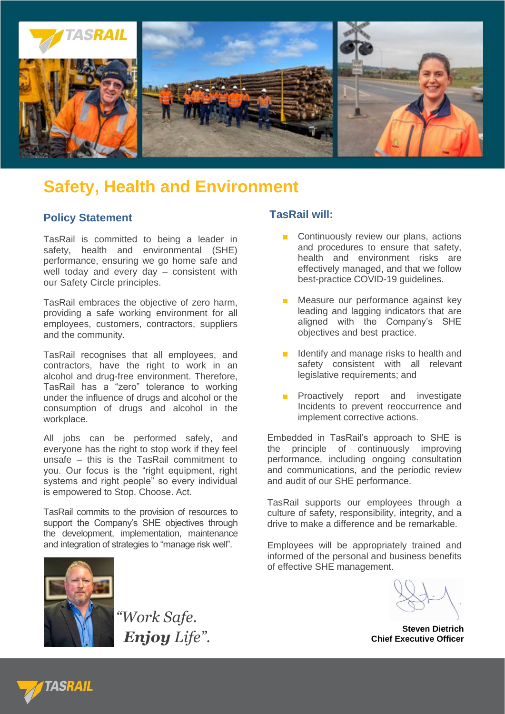

## **Safety, Health and Environment**

### **Policy Statement**

TasRail is committed to being a leader in safety, health and environmental (SHE) performance, ensuring we go home safe and well today and every day – consistent with our Safety Circle principles.

TasRail embraces the objective of zero harm, providing a safe working environment for all employees, customers, contractors, suppliers and the community.

TasRail recognises that all employees, and contractors, have the right to work in an alcohol and drug-free environment. Therefore, TasRail has a "zero" tolerance to working under the influence of drugs and alcohol or the consumption of drugs and alcohol in the workplace.

All jobs can be performed safely, and everyone has the right to stop work if they feel unsafe – this is the TasRail commitment to you. Our focus is the "right equipment, right systems and right people" so every individual is empowered to Stop. Choose. Act.

TasRail commits to the provision of resources to support the Company's SHE objectives through the development, implementation, maintenance and integration of strategies to "manage risk well".



*"Work Safe. Enjoy Life".*

#### **TasRail will:**

- Continuously review our plans, actions and procedures to ensure that safety, health and environment risks are effectively managed, and that we follow best-practice COVID-19 guidelines.
- Measure our performance against key leading and lagging indicators that are aligned with the Company's SHE objectives and best practice.
- Identify and manage risks to health and safety consistent with all relevant legislative requirements; and
- Proactively report and investigate Incidents to prevent reoccurrence and implement corrective actions.

Embedded in TasRail's approach to SHE is the principle of continuously improving performance, including ongoing consultation and communications, and the periodic review and audit of our SHE performance.

TasRail supports our employees through a culture of safety, responsibility, integrity, and a drive to make a difference and be remarkable.

Employees will be appropriately trained and informed of the personal and business benefits of effective SHE management.

**Steven Dietrich Chief Executive Officer**